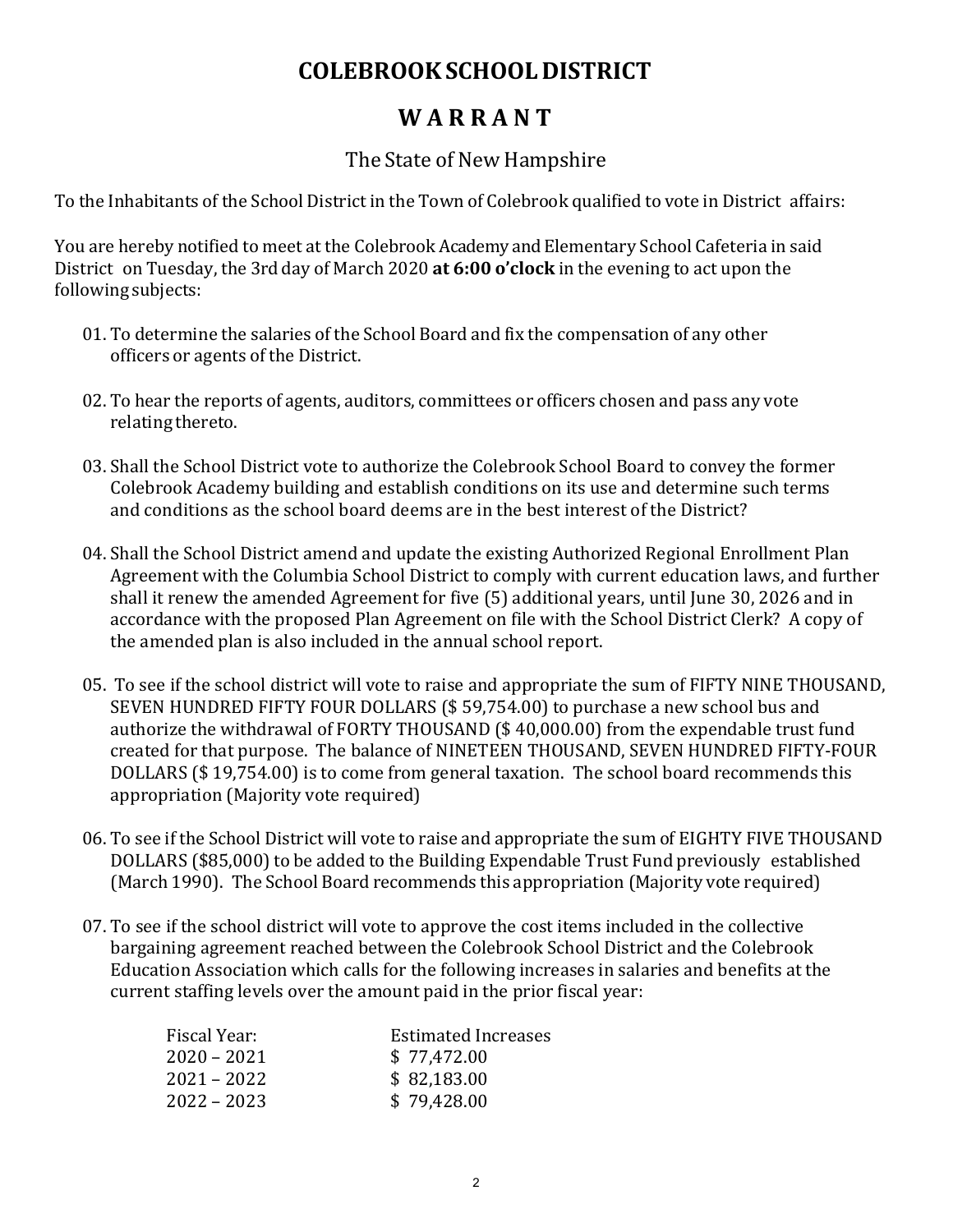## **COLEBROOKSCHOOLDISTRICT**

## **W A R R A N T**

## The State of New Hampshire

To the Inhabitants of the School District in the Town of Colebrook qualified to vote in District affairs:

You are hereby notified to meet at the Colebrook Academy and Elementary School Cafeteria in said District on Tuesday, the 3rd day of March 2020 **at 6:00 o'clock** in the evening to act upon the following subjects:

- 01. To determine the salaries of the School Board and fix the compensation of any other officers or agents of the District.
- 02. To hear the reports of agents, auditors, committees or officers chosen and pass any vote relating thereto.
- 03. Shall the School District vote to authorize the Colebrook School Board to convey the former Colebrook Academy building and establish conditions on its use and determine such terms and conditions as the school board deems are in the best interest of the District?
- 04. Shall the School District amend and update the existing Authorized Regional Enrollment Plan Agreement with the Columbia School District to comply with current education laws, and further shall it renew the amended Agreement for five (5) additional years, until June 30, 2026 and in accordance with the proposed Plan Agreement on file with the School District Clerk? A copy of the amended plan is also included in the annual school report.
- 05. To see if the school district will vote to raise and appropriate the sum of FIFTY NINE THOUSAND, SEVEN HUNDRED FIFTY FOUR DOLLARS (\$ 59,754.00) to purchase a new school bus and authorize the withdrawal of FORTY THOUSAND (\$ 40,000.00) from the expendable trust fund created for that purpose. The balance of NINETEEN THOUSAND, SEVEN HUNDRED FIFTY-FOUR DOLLARS (\$ 19,754.00) is to come from general taxation. The school board recommends this appropriation (Majority vote required)
- 06. To see if the School District will vote to raise and appropriate the sum of EIGHTY FIVE THOUSAND DOLLARS (\$85,000) to be added to the Building Expendable Trust Fund previously established (March 1990). The School Board recommends this appropriation (Majority vote required)
- 07. To see if the school district will vote to approve the cost items included in the collective bargaining agreement reached between the Colebrook School District and the Colebrook Education Association which calls for the following increases in salaries and benefits at the current staffing levels over the amount paid in the prior fiscal year:

| Fiscal Year:  | <b>Estimated Increases</b> |
|---------------|----------------------------|
| $2020 - 2021$ | \$77,472.00                |
| $2021 - 2022$ | \$82,183.00                |
| $2022 - 2023$ | \$79,428.00                |
|               |                            |